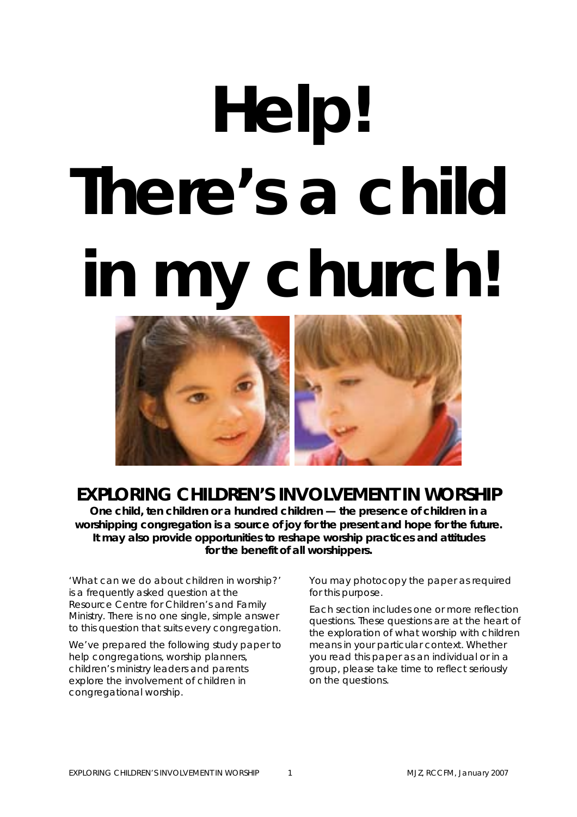# **Help! There's a child in my church!**



# **EXPLORING CHILDREN'S INVOLVEMENT IN WORSHIP**

**One child, ten children or a hundred children — the presence of children in a worshipping congregation is a source of joy for the present and hope for the future. It may also provide opportunities to reshape worship practices and attitudes for the benefit of all worshippers.** 

'What can we do about children in worship?' is a frequently asked question at the Resource Centre for Children's and Family Ministry. There is no one single, simple answer to this question that suits every congregation.

We've prepared the following study paper to help congregations, worship planners, children's ministry leaders and parents explore the involvement of children in congregational worship.

You may photocopy the paper as required for this purpose.

Each section includes one or more reflection questions. These questions are at the heart of the exploration of what worship with children means in your particular context. Whether you read this paper as an individual or in a group, please take time to reflect seriously on the questions.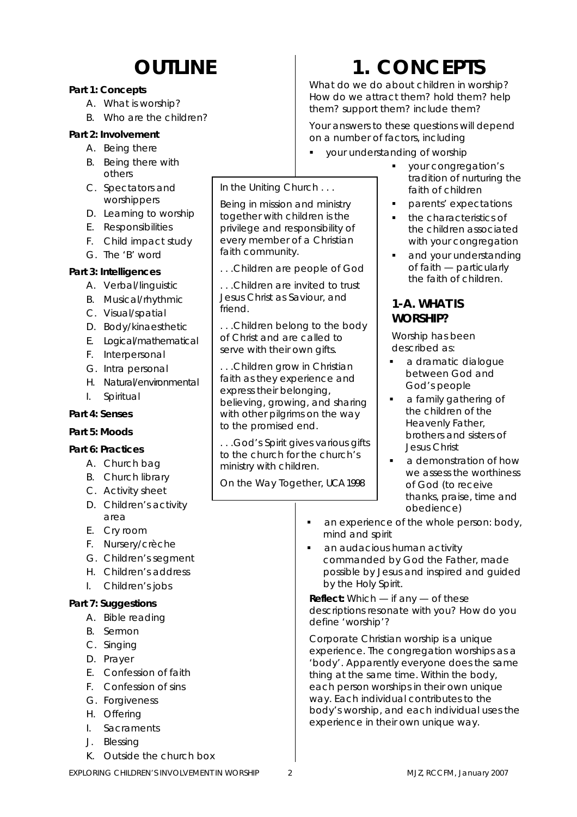# **OUTLINE**

### **Part 1: Concepts**

- A. What is worship?
- B. Who are the children?

#### **Part 2: Involvement**

- A. Being there
- B. Being there with others
- C. Spectators and worshippers
- D. Learning to worship
- E. Responsibilities
- F. Child impact study
- G. The 'B' word

#### **Part 3: Intelligences**

- A. Verbal/linguistic
- B. Musical/rhythmic
- C. Visual/spatial
- D. Body/kinaesthetic
- E. Logical/mathematical
- F. Interpersonal
- G. Intra personal
- H. Natural/environmental
- I. Spiritual

### **Part 4: Senses**

### **Part 5: Moods**

### **Part 6: Practices**

- A. Church bag
- B. Church library
- C. Activity sheet
- D. Children's activity area
- E. Cry room
- F. Nursery/crèche
- G. Children's segment
- H. Children's address
- I. Children's jobs

### **Part 7: Suggestions**

- A. Bible reading
- B. Sermon
- C. Singing
- D. Prayer
- E. Confession of faith
- F. Confession of sins
- G. Forgiveness
- H. Offering
- I. Sacraments
- J. Blessing
- K. Outside the church box

# **1. CONCEPTS**

What do we do about children in worship? How do we attract them? hold them? help them? support them? include them?

Your answers to these questions will depend on a number of factors, including

your understanding of worship

In the Uniting Church . . . Being in mission and ministry together with children is the privilege and responsibility of every member of a Christian

. . .Children are people of God . . .Children are invited to trust Jesus Christ as Saviour, and

. . .Children belong to the body of Christ and are called to serve with their own gifts.

. . .Children grow in Christian faith as they experience and express their belonging,

believing, growing, and sharing with other pilgrims on the way

. . .God's Spirit gives various gifts to the church for the church's

*On the Way Together,* UCA 1998

to the promised end.

ministry with children.

faith community.

friend.

- vour congregation's tradition of nurturing the faith of children
- **parents' expectations**
- the characteristics of the children associated with your congregation
- and your understanding of faith — particularly the faith of children.

### **1-A. WHAT IS WORSHIP?**

Worship has been described as:

- a dramatic dialogue between God and God's people
- **a** family gathering of the children of the Heavenly Father, brothers and sisters of Jesus Christ
- a demonstration of how we assess the worthiness of God (to receive thanks, praise, time and obedience)
- an experience of the whole person: body, mind and spirit
- an audacious human activity commanded by God the Father, made possible by Jesus and inspired and guided by the Holy Spirit.

*Reflect: Which — if any — of these descriptions resonate with you? How do you define 'worship'?* 

Corporate Christian worship is a unique experience. The congregation worships as a 'body'. Apparently everyone does the same thing at the same time. Within the body, each person worships in their own unique way. Each individual contributes to the body's worship, and each individual uses the experience in their own unique way.

EXPLORING CHILDREN'S INVOLVEMENT IN WORSHIP 2 2 MJZ, RCCFM, January 2007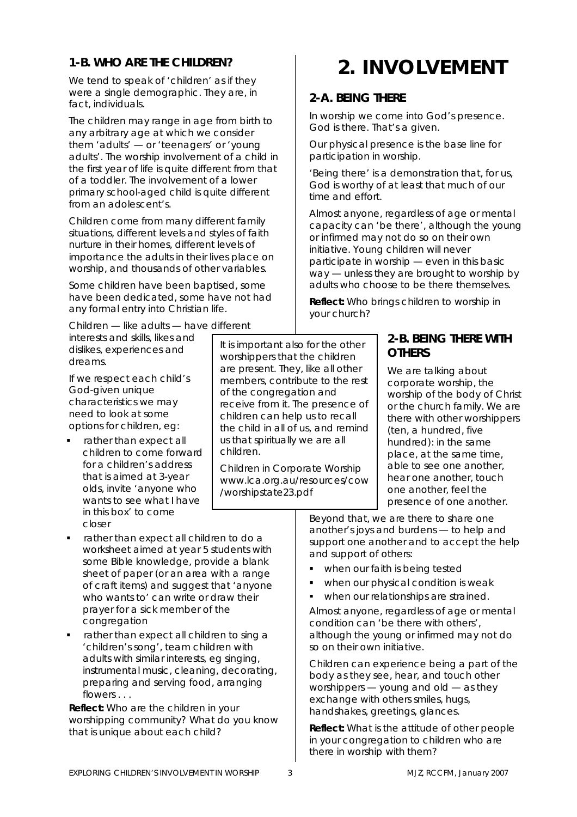### **1-B. WHO ARE THE CHILDREN?**

We tend to speak of 'children' as if they were a single demographic. They are, in fact, individuals.

The children may range in age from birth to any arbitrary age at which we consider them 'adults' — or 'teenagers' or 'young adults'. The worship involvement of a child in the first year of life is quite different from that of a toddler. The involvement of a lower primary school-aged child is quite different from an adolescent's.

Children come from many different family situations, different levels and styles of faith nurture in their homes, different levels of importance the adults in their lives place on worship, and thousands of other variables.

Some children have been baptised, some have been dedicated, some have not had any formal entry into Christian life.

Children — like adults — have different interests and skills, likes and dislikes, experiences and dreams.

If we respect each child's God-given unique characteristics we may need to look at some options for children, eg:

 rather than expect all children to come forward for a children's address that is aimed at 3-year olds, invite 'anyone who wants to see what I have in this box' to come closer

It is important also for the other worshippers that the children are present. They, like all other members, contribute to the rest of the congregation and receive from it. The presence of children can help us to recall the child in all of us, and remind us that spiritually we are all children.

*Children in Corporate Worship* www.lca.org.au/resources/cow /worshipstate23.pdf

# **2. INVOLVEMENT**

# **2-A. BEING THERE**

In worship we come into God's presence. God is there. That's a given.

Our physical presence is the base line for participation in worship.

'Being there' is a demonstration that, for us, God is worthy of at least that much of our time and effort.

Almost anyone, regardless of age or mental capacity can 'be there', although the young or infirmed may not do so on their own initiative. Young children will never participate in worship — even in this basic way — unless they are brought to worship by adults who choose to be there themselves.

*Reflect: Who brings children to worship in your church?* 

### **2-B. BEING THERE WITH OTHERS**

We are talking about corporate worship, the worship of the body of Christ or the church family. We are there with other worshippers (ten, a hundred, five hundred): in the same place, at the same time, able to see one another, hear one another, touch one another, feel the presence of one another.

Beyond that, we are there to share one another's joys and burdens — to help and support one another and to accept the help and support of others:

- **when our faith is being tested**
- when our physical condition is weak
- when our relationships are strained.

Almost anyone, regardless of age or mental condition can 'be there with others', although the young or infirmed may not do so on their own initiative.

Children can experience being a part of the body as they see, hear, and touch other worshippers — young and old — as they exchange with others smiles, hugs, handshakes, greetings, glances.

*Reflect: What is the attitude of other people in your congregation to children who are there in worship with them?* 

#### rather than expect all children to do a worksheet aimed at year 5 students with some Bible knowledge, provide a blank sheet of paper (or an area with a range of craft items) and suggest that 'anyone who wants to' can write or draw their prayer for a sick member of the congregation

 rather than expect all children to sing a 'children's song', team children with adults with similar interests, eg singing, instrumental music, cleaning, decorating, preparing and serving food, arranging flowers . . .

*Reflect: Who are the children in your worshipping community? What do you know that is unique about each child?*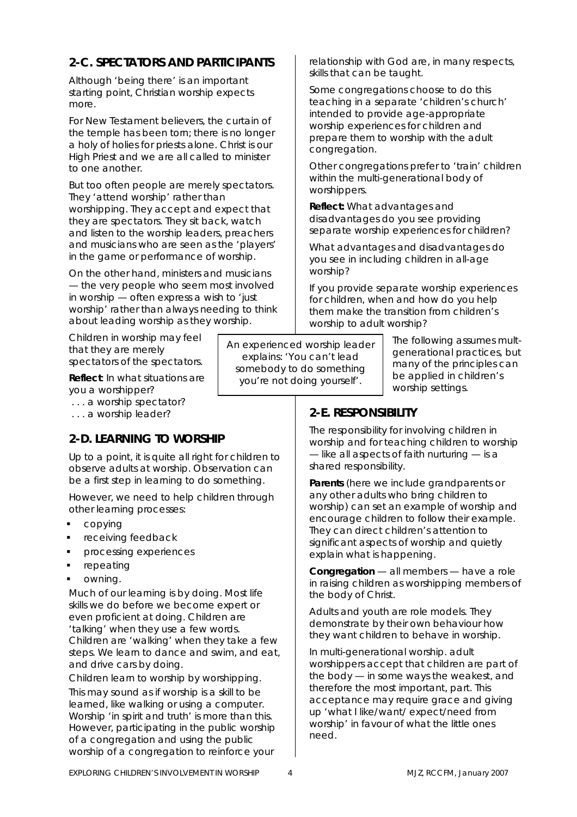## **2-C. SPECTATORS AND PARTICIPANTS**

Although 'being there' is an important starting point, Christian worship expects more.

For New Testament believers, the curtain of the temple has been torn; there is no longer a holy of holies for priests alone. Christ is our High Priest and we are all called to minister to one another.

But too often people are merely spectators. They 'attend worship' rather than worshipping. They accept and expect that they are spectators. They sit back, watch and listen to the worship leaders, preachers and musicians who are seen as the 'players' in the game or performance of worship.

On the other hand, ministers and musicians — the very people who seem most involved in worship — often express a wish to 'just worship' rather than always needing to think about leading worship as they worship.

Children in worship may feel that they are merely spectators of the spectators.

*Reflect: In what situations are you a worshipper?* 

 *. . . a worship spectator?* 

 *. . . a worship leader?* 

### **2-D. LEARNING TO WORSHIP**

Up to a point, it is quite all right for children to observe adults at worship. Observation can be a first step in learning to do something.

However, we need to help children through other learning processes:

- copying
- receiving feedback
- processing experiences
- repeating
- owning.

Much of our learning is by doing. Most life skills we do before we become expert or even proficient at doing. Children are 'talking' when they use a few words. Children are 'walking' when they take a few steps. We learn to dance and swim, and eat, and drive cars by doing.

Children learn to worship by worshipping. This may sound as if worship is a skill to be learned, like walking or using a computer. Worship 'in spirit and truth' is more than this. However, participating in the public worship of a congregation and using the public worship of a congregation to reinforce your

An experienced worship leader explains: 'You can't lead somebody to do something

you're not doing yourself'.

relationship with God are, in many respects, skills that can be taught.

Some congregations choose to do this teaching in a separate 'children's church' intended to provide age-appropriate worship experiences for children and prepare them to worship with the adult congregation.

Other congregations prefer to 'train' children within the multi-generational body of worshippers.

*Reflect: What advantages and disadvantages do you see providing separate worship experiences for children?* 

*What advantages and disadvantages do you see in including children in all-age worship?* 

*If you provide separate worship experiences for children, when and how do you help them make the transition from children's worship to adult worship?* 

> *The following assumes multgenerational practices, but many of the principles can be applied in children's worship settings.*

# **2-E. RESPONSIBILITY**

The responsibility for involving children in worship and for teaching children to worship — like all aspects of faith nurturing — is a shared responsibility.

**Parents** (here we include grandparents or any other adults who bring children to worship) can set an example of worship and encourage children to follow their example. They can direct children's attention to significant aspects of worship and quietly explain what is happening.

**Congregation** — all members — have a role in raising children as worshipping members of the body of Christ.

Adults and youth are role models. They demonstrate by their own behaviour how they want children to behave in worship.

In multi-generational worship. adult worshippers accept that children are part of the body — in some ways the weakest, and therefore the most important, part. This acceptance may require grace and giving up 'what I like/want/ expect/need from worship' in favour of what the little ones need.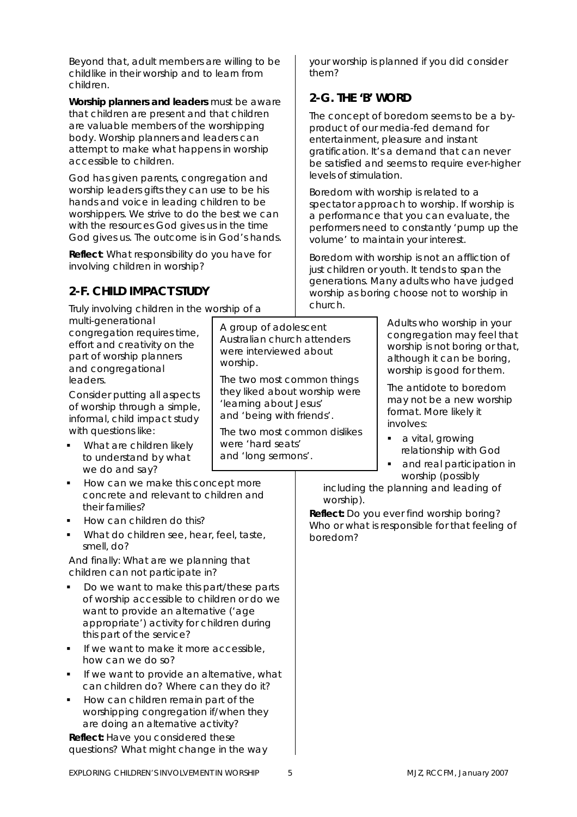Beyond that, adult members are willing to be childlike in their worship and to learn from children.

**Worship planners and leaders** must be aware that children are present and that children are valuable members of the worshipping body. Worship planners and leaders can attempt to make what happens in worship accessible to children.

God has given parents, congregation and worship leaders gifts they can use to be his hands and voice in leading children to be worshippers. We strive to do the best we can with the resources God gives us in the time God gives us. The outcome is in God's hands.

*Reflect: What responsibility do you have for involving children in worship?* 

# **2-F. CHILD IMPACT STUDY**

Truly involving children in the worship of a

multi-generational congregation requires time, effort and creativity on the part of worship planners and congregational leaders.

Consider putting all aspects of worship through a simple, informal, child impact study with questions like:

- What are children likely to understand by what we do and say?
- How can we make this concept more concrete and relevant to children and their families?
- How can children do this?
- What do children see, hear, feel, taste, smell, do?

And finally: What are we planning that children *can not* participate in?

- Do we want to make this part/these parts of worship accessible to children or do we want to provide an alternative ('age appropriate') activity for children during this part of the service?
- If we want to make it more accessible, how can we do so?
- If we want to provide an alternative, what can children do? Where can they do it?
- How can children remain part of the worshipping congregation if/when they are doing an alternative activity?

*Reflect: Have you considered these questions? What might change in the way*  *your worship is planned if you did consider them?* 

# **2-G. THE 'B' WORD**

The concept of boredom seems to be a byproduct of our media-fed demand for entertainment, pleasure and instant gratification. It's a demand that can never be satisfied and seems to require ever-higher levels of stimulation.

Boredom with worship is related to a spectator approach to worship. If worship is a performance that you can evaluate, the performers need to constantly 'pump up the volume' to maintain your interest.

Boredom with worship is not an affliction of just children or youth. It tends to span the generations. Many adults who have judged worship as boring choose not to worship in church.

> Adults who worship in your congregation may feel that worship is not boring or that, although it can be boring, worship is good for them.

The antidote to boredom may not be a new worship format. More likely it involves:

- a vital, growing relationship with God
- and real participation in worship (possibly

including the planning and leading of worship).

*Reflect: Do you ever find worship boring? Who or what is responsible for that feeling of boredom?* 

A group of adolescent Australian church attenders were interviewed about

'learning about Jesus' and 'being with friends'.

were 'hard seats' and 'long sermons'.

The two most common things they liked about worship were

The two most common dislikes

worship.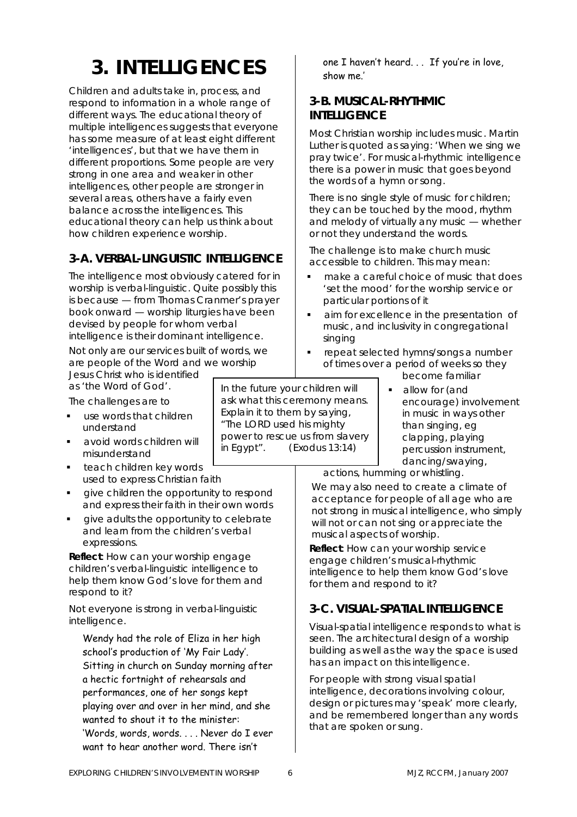# **3. INTELLIGENCES**

Children and adults take in, process, and respond to information in a whole range of different ways. The educational theory of multiple intelligences suggests that everyone has some measure of at least eight different 'intelligences', but that we have them in different proportions. Some people are very strong in one area and weaker in other intelligences, other people are stronger in several areas, others have a fairly even balance across the intelligences. This educational theory can help us think about how children experience worship.

### **3-A. VERBAL-LINGUISTIC INTELLIGENCE**

The intelligence most obviously catered for in worship is verbal-linguistic. Quite possibly this is because — from Thomas Cranmer's prayer book onward — worship liturgies have been devised by people for whom verbal intelligence is their dominant intelligence.

Not only are our services built of words, we are people of the Word and we worship Jesus Christ who is identified

as 'the Word of God'.

The challenges are to

- use words that children understand
- avoid words children will misunderstand
- teach children key words used to express Christian faith
- give children the opportunity to respond and express their faith in their own words
- give adults the opportunity to celebrate and learn from the children's verbal expressions.

*Reflect: How can your worship engage children's verbal-linguistic intelligence to help them know God's love for them and respond to it?* 

Not everyone is strong in verbal-linguistic intelligence.

Wendy had the role of Eliza in her high school's production of 'My Fair Lady'. Sitting in church on Sunday morning after a hectic fortnight of rehearsals and performances, one of her songs kept playing over and over in her mind, and she wanted to shout it to the minister: 'Words, words, words. . . . Never do I ever want to hear another word. There isn't

In the future your children will ask what this ceremony means. Explain it to them by saying, "The LORD used his mighty power to rescue us from slavery in Egypt".(Exodus 13:14)

one I haven't heard. . . If you're in love, show me.'

### **3-B. MUSICAL-RHYTHMIC INTELLIGENCE**

Most Christian worship includes music. Martin Luther is quoted as saying: 'When we sing we pray twice'. For musical-rhythmic intelligence there is a power in music that goes beyond the words of a hymn or song.

There is no single style of music for children; they can be touched by the mood, rhythm and melody of virtually any music — whether or not they understand the words.

The challenge is to make church music accessible to children. This may mean:

- make a careful choice of music that does 'set the mood' for the worship service or particular portions of it
- aim for excellence in the presentation of music, and inclusivity in congregational singing
- repeat selected hymns/songs a number of times over a period of weeks so they

become familiar

 allow for (and encourage) involvement in music in ways other than singing, eg clapping, playing percussion instrument, dancing/swaying,

actions, humming or whistling.

We may also need to create a climate of acceptance for people of all age who are not strong in musical intelligence, who simply will not or can not sing or appreciate the musical aspects of worship.

*Reflect: How can your worship service engage children's musical-rhythmic intelligence to help them know God's love for them and respond to it?*

### **3-C. VISUAL-SPATIAL INTELLIGENCE**

Visual-spatial intelligence responds to what is seen. The architectural design of a worship building as well as the way the space is used has an impact on this intelligence.

For people with strong visual spatial intelligence, decorations involving colour, design or pictures may 'speak' more clearly, and be remembered longer than any words that are spoken or sung.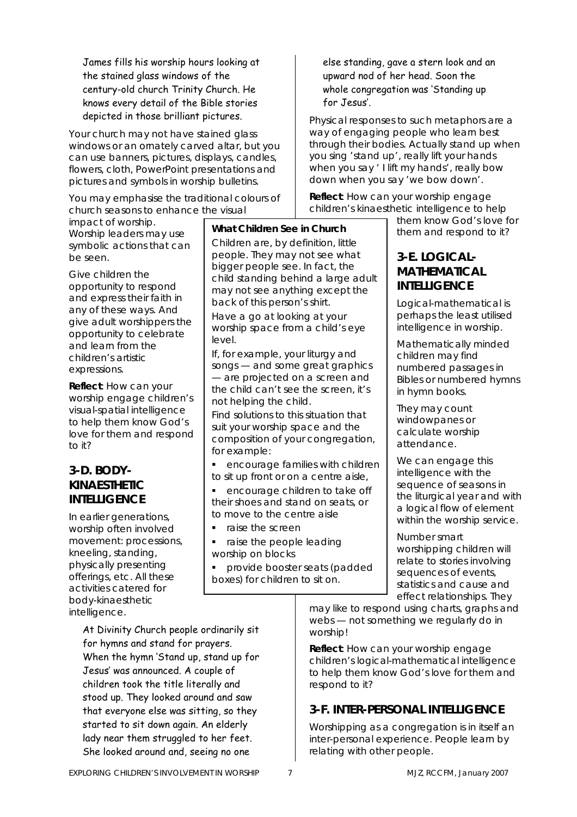James fills his worship hours looking at the stained glass windows of the century-old church Trinity Church. He knows every detail of the Bible stories depicted in those brilliant pictures.

Your church may not have stained glass windows or an ornately carved altar, but you can use banners, pictures, displays, candles, flowers, cloth, PowerPoint presentations and pictures and symbols in worship bulletins.

You may emphasise the traditional colours of church seasons to enhance the visual

impact of worship. Worship leaders may use symbolic actions that can be seen.

Give children the opportunity to respond and express their faith in any of these ways. And give adult worshippers the opportunity to celebrate and learn from the children's artistic expressions.

*Reflect: How can your worship engage children's visual-spatial intelligence to help them know God's love for them and respond to it?* 

### **3-D. BODY-KINAESTHETIC INTELLIGENCE**

In earlier generations, worship often involved movement: processions, kneeling, standing, physically presenting offerings, etc. All these activities catered for body-kinaesthetic intelligence.

> At Divinity Church people ordinarily sit for hymns and stand for prayers. When the hymn 'Stand up, stand up for Jesus' was announced. A couple of children took the title literally and stood up. They looked around and saw that everyone else was sitting, so they started to sit down again. An elderly lady near them struggled to her feet. She looked around and, seeing no one

### **What Children See in Church**

Children are, by definition, little people. They may not see what bigger people see. In fact, the child standing behind a large adult may not see anything except the back of this person's shirt.

Have a go at looking at your worship space from a child's eye level.

If, for example, your liturgy and songs — and some great graphics — are projected on a screen and the child can't see the screen, it's not helping the child.

Find solutions to this situation that suit your worship space and the composition of your congregation, for example:

**EXECOUTAGE FAMILIES With children** to sit up front or on a centre aisle,

 encourage children to take off their shoes and stand on seats, or to move to the centre aisle

- raise the screen
- raise the people leading worship on blocks
- provide booster seats (padded boxes) for children to sit on.

else standing, gave a stern look and an upward nod of her head. Soon the whole congregation was 'Standing up for Jesus'.

Physical responses to such metaphors are a way of engaging people who learn best through their bodies. Actually stand up when you sing 'stand up', really lift your hands when you say ' I lift my hands', really bow down when you say 'we bow down'.

*Reflect: How can your worship engage children's kinaesthetic intelligence to help* 

*them know God's love for them and respond to it?* 

### **3-E. LOGICAL-MATHEMATICAL INTELLIGENCE**

Logical-mathematical is perhaps the least utilised intelligence in worship.

Mathematically minded children may find numbered passages in Bibles or numbered hymns in hymn books.

They may count windowpanes or calculate worship attendance.

We can engage this intelligence with the sequence of seasons in the liturgical year and with a logical flow of element within the worship service.

Number smart worshipping children will relate to stories involving sequences of events, statistics and cause and effect relationships. They

may like to respond using charts, graphs and webs — not something we regularly do in worship!

*Reflect: How can your worship engage children's logical-mathematical intelligence to help them know God's love for them and respond to it?* 

# **3-F. INTER-PERSONAL INTELLIGENCE**

Worshipping as a congregation is in itself an inter-personal experience. People learn by relating with other people.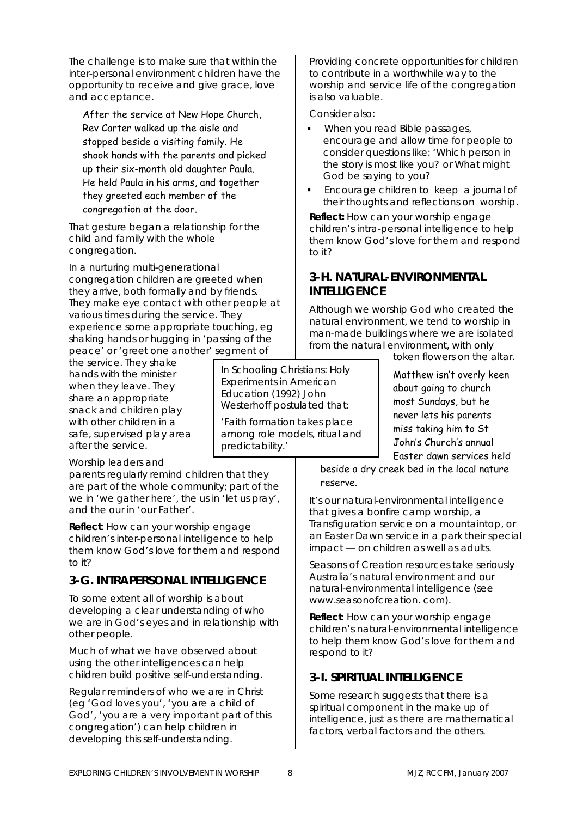The challenge is to make sure that within the inter-personal environment children have the opportunity to receive and give grace, love and acceptance.

After the service at New Hope Church, Rev Carter walked up the aisle and stopped beside a visiting family. He shook hands with the parents and picked up their six-month old daughter Paula. He held Paula in his arms, and together they greeted each member of the congregation at the door.

That gesture began a relationship for the child and family with the whole congregation.

In a nurturing multi-generational congregation children are greeted when they arrive, both formally and by friends. They make eye contact with other people at various times during the service. They experience some appropriate touching, eg shaking hands or hugging in 'passing of the peace' or 'greet one another' segment of

the service. They shake hands with the minister when they leave. They share an appropriate snack and children play with other children in a safe, supervised play area after the service.

Worship leaders and

parents regularly remind children that they are part of the whole community; part of the *we* in 'we gather here', the *us* in 'let us pray', and the *our* in 'our Father'.

*Reflect: How can your worship engage children's inter-personal intelligence to help them know God's love for them and respond to it?* 

### **3-G. INTRAPERSONAL INTELLIGENCE**

To some extent all of worship is about developing a clear understanding of who we are in God's eyes and in relationship with other people.

Much of what we have observed about using the other intelligences can help children build positive self-understanding.

Regular reminders of who we are in Christ (eg 'God loves you', 'you are a child of God', 'you are a very important part of this congregation') can help children in developing this self-understanding.

Providing concrete opportunities for children to contribute in a worthwhile way to the worship and service life of the congregation is also valuable.

Consider also:

- When you read Bible passages, encourage and allow time for people to consider questions like: 'Which person in the story is most like you? or What might God be saying to you?
- Encourage children to keep a journal of their thoughts and reflections on worship.

*Reflect: How can your worship engage children's intra-personal intelligence to help them know God's love for them and respond to it?* 

### **3-H. NATURAL-ENVIRONMENTAL INTELLIGENCE**

Although we worship God who created the natural environment, we tend to worship in man-made buildings where we are isolated from the natural environment, with only

token flowers on the altar.

Matthew isn't overly keen about going to church most Sundays, but he never lets his parents miss taking him to St John's Church's annual Easter dawn services held

beside a dry creek bed in the local nature reserve.

It's our natural-environmental intelligence that gives a bonfire camp worship, a Transfiguration service on a mountaintop, or an Easter Dawn service in a park their special impact — on children as well as adults.

*Seasons of Creation* resources take seriously Australia's natural environment and our natural-environmental intelligence (see www.seasonofcreation. com).

*Reflect: How can your worship engage children's natural-environmental intelligence to help them know God's love for them and respond to it?* 

### **3-I. SPIRITUAL INTELLIGENCE**

Some research suggests that there is a spiritual component in the make up of intelligence, just as there are mathematical factors, verbal factors and the others.

In *Schooling Christians: Holy Experiments in American Education* (1992) John Westerhoff postulated that: 'Faith formation takes place among role models, ritual and

predictability.'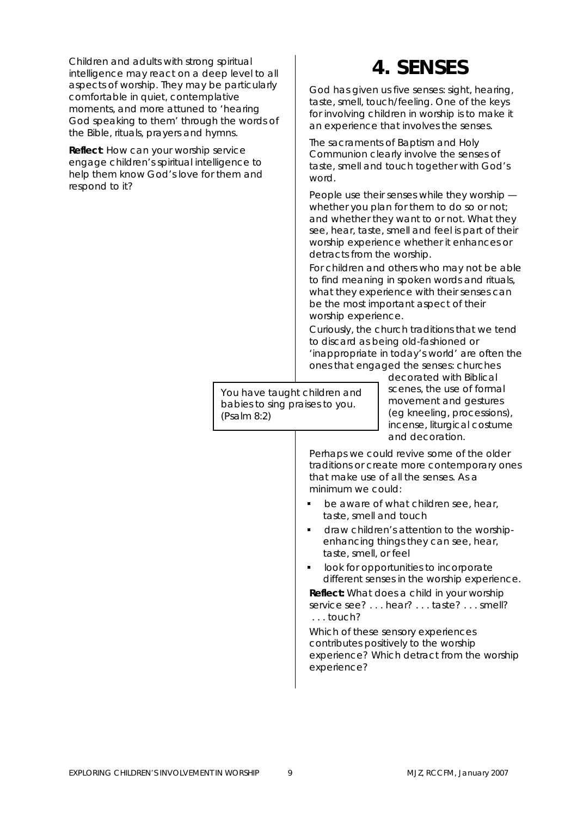Children and adults with strong spiritual intelligence may react on a deep level to all aspects of worship. They may be particularly comfortable in quiet, contemplative moments, and more attuned to 'hearing God speaking to them' through the words of the Bible, rituals, prayers and hymns.

*Reflect: How can your worship service engage children's spiritual intelligence to help them know God's love for them and respond to it?* 

# **4. SENSES**

God has given us five senses: sight, hearing, taste, smell, touch/feeling. One of the keys for involving children in worship is to make it an experience that involves the senses.

The sacraments of Baptism and Holy Communion clearly involve the senses of taste, smell and touch together with God's word.

People use their senses while they worship whether you plan for them to do so or not; and whether they want to or not. What they see, hear, taste, smell and feel is part of their worship experience whether it enhances or detracts from the worship.

For children and others who may not be able to find meaning in spoken words and rituals, what they experience with their senses can be the most important aspect of their worship experience.

Curiously, the church traditions that we tend to discard as being old-fashioned or 'inappropriate in today's world' are often the ones that engaged the senses: churches

You have taught children and babies to sing praises to you. (Psalm 8:2)

decorated with Biblical scenes, the use of formal movement and gestures (eg kneeling, processions), incense, liturgical costume and decoration.

Perhaps we could revive some of the older traditions or create more contemporary ones that make use of all the senses. As a minimum we could:

- be aware of what children see, hear, taste, smell and touch
- draw children's attention to the worshipenhancing things they can see, hear, taste, smell, or feel
- look for opportunities to incorporate different senses in the worship experience.

*Reflect: What does a child in your worship service see? . . . hear? . . . taste? . . . smell? . . . touch?*

*Which of these sensory experiences contributes positively to the worship experience? Which detract from the worship experience?*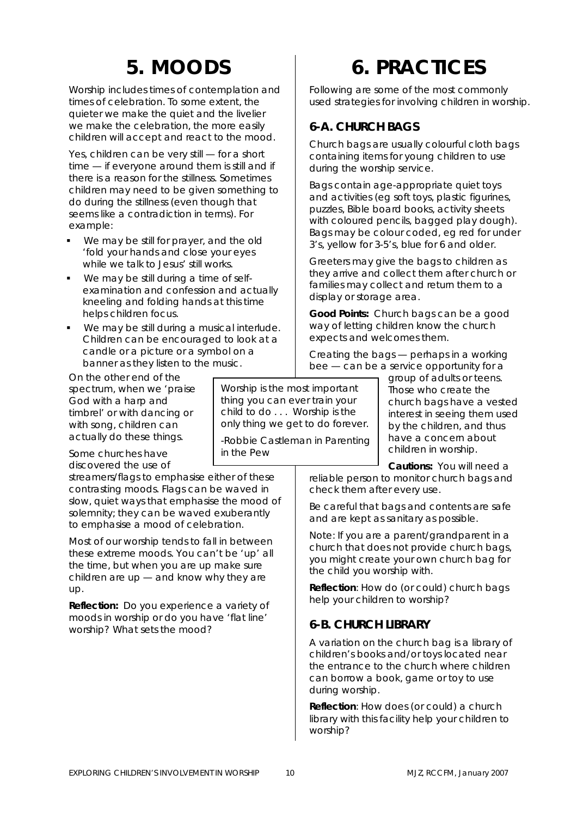# **5. MOODS**

Worship includes times of contemplation and times of celebration. To some extent, the quieter we make the quiet and the livelier we make the celebration, the more easily children will accept and react to the mood.

Yes, children can be very still — for a short time — if everyone around them is still and if there is a reason for the stillness. Sometimes children may need to be given something to do during the stillness (even though that seems like a contradiction in terms). For example:

- We may be still for prayer, and the old 'fold your hands and close your eyes while we talk to Jesus' still works.
- We may be still during a time of selfexamination and confession and actually kneeling and folding hands at this time helps children focus.
- We may be still during a musical interlude. Children can be encouraged to look at a candle or a picture or a symbol on a banner as they listen to the music.

On the other end of the spectrum, when we 'praise God with a harp and timbrel' or with dancing or with song, children can actually do these things.

Some churches have discovered the use of

streamers/flags to emphasise either of these contrasting moods. Flags can be waved in slow, quiet ways that emphasise the mood of solemnity; they can be waved exuberantly to emphasise a mood of celebration.

Most of our worship tends to fall in between these extreme moods. You can't be 'up' all the time, but when you are up make sure children are up — and know why they are up.

*Reflection: Do you experience a variety of moods in worship or do you have 'flat line' worship? What sets the mood?* 

# **6. PRACTICES**

Following are some of the most commonly used strategies for involving children in worship.

## **6-A. CHURCH BAGS**

Church bags are usually colourful cloth bags containing items for young children to use during the worship service.

Bags contain age-appropriate quiet toys and activities (eg soft toys, plastic figurines, puzzles, Bible board books, activity sheets with coloured pencils, bagged play dough). Bags may be colour coded, eg red for under 3's, yellow for 3-5's, blue for 6 and older.

Greeters may give the bags to children as they arrive and collect them after church or families may collect and return them to a display or storage area.

**Good Points:** Church bags can be a good way of letting children know the church expects and welcomes them.

Creating the bags — perhaps in a working bee — can be a service opportunity for a

> group of adults or teens. Those who create the church bags have a vested interest in seeing them used by the children, and thus have a concern about children in worship.

**Cautions:** You will need a reliable person to monitor church bags and check them after every use.

Be careful that bags and contents are safe and are kept as sanitary as possible.

Note: If you are a parent/grandparent in a church that does not provide church bags, you might create your own church bag for the child you worship with.

*Reflection: How do (or could) church bags help your children to worship?* 

### **6-B. CHURCH LIBRARY**

A variation on the church bag is a library of children's books and/or toys located near the entrance to the church where children can borrow a book, game or toy to use during worship.

*Reflection: How does (or could) a church library with this facility help your children to worship?*

Worship is the most important thing you can ever train your child to do . . . Worship is the only thing we get to do forever. -Robbie Castleman in *Parenting* 

*in the Pew*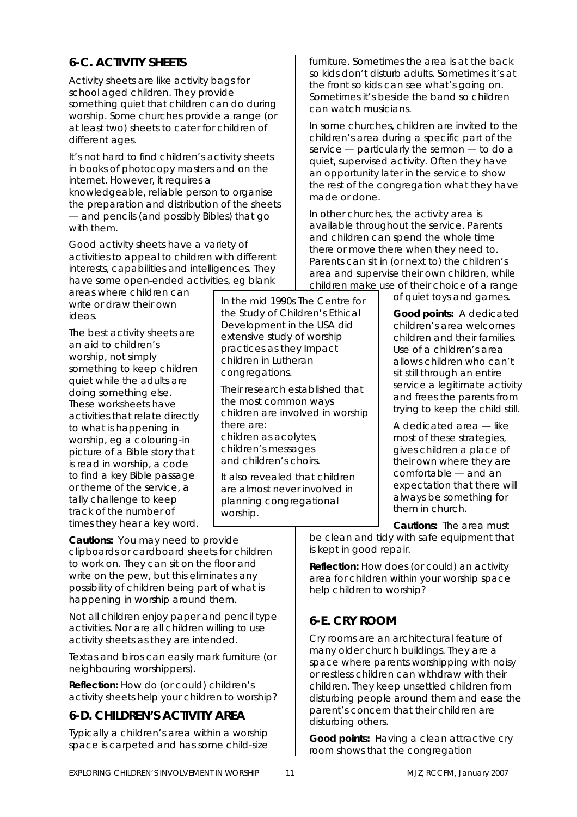# **6-C. ACTIVITY SHEETS**

Activity sheets are like activity bags for school aged children. They provide something quiet that children can do during worship. Some churches provide a range (or at least two) sheets to cater for children of different ages.

It's not hard to find children's activity sheets in books of photocopy masters and on the internet. However, it requires a knowledgeable, reliable person to organise the preparation and distribution of the sheets — and pencils (and possibly Bibles) that go with them.

Good activity sheets have a variety of activities to appeal to children with different interests, capabilities and intelligences. They have some open-ended activities, eg blank

areas where children can write or draw their own ideas.

The best activity sheets are an aid to children's worship, not simply something to keep children quiet while the adults are doing something else. These worksheets have activities that relate directly to what is happening in worship, eg a colouring-in picture of a Bible story that is read in worship, a code to find a key Bible passage or theme of the service, a tally challenge to keep track of the number of times they hear a key word.

In the mid 1990s The Centre for the Study of Children's Ethical Development in the USA did extensive study of worship practices as they Impact children in Lutheran congregations.

Their research established that the most common ways children are involved in worship there are: children as acolytes, children's messages and children's choirs.

It also revealed that children are almost never involved in planning congregational worship.

furniture. Sometimes the area is at the back so kids don't disturb adults. Sometimes it's at the front so kids can see what's going on. Sometimes it's beside the band so children can watch musicians.

In some churches, children are invited to the children's area during a specific part of the service — particularly the sermon — to do a quiet, supervised activity. Often they have an opportunity later in the service to show the rest of the congregation what they have made or done.

In other churches, the activity area is available throughout the service. Parents and children can spend the whole time there or move there when they need to. Parents can sit in (or next to) the children's area and supervise their own children, while children make use of their choice of a range

of quiet toys and games.

**Good points:** A dedicated children's area welcomes children and their families. Use of a children's area allows children who can't sit still through an entire service a legitimate activity and frees the parents from trying to keep the child still.

A dedicated area — like most of these strategies, gives children a place of their own where they are comfortable — and an expectation that there will always be something for them in church.

**Cautions:** The area must

be clean and tidy with safe equipment that is kept in good repair.

*Reflection: How does (or could) an activity area for children within your worship space help children to worship?* 

### **6-E. CRY ROOM**

Cry rooms are an architectural feature of many older church buildings. They are a space where parents worshipping with noisy or restless children can withdraw with their children. They keep unsettled children from disturbing people around them and ease the parent's concern that their children are disturbing others.

**Good points:** Having a clean attractive cry room shows that the congregation

**Cautions:** You may need to provide clipboards or cardboard sheets for children to work on. They can sit on the floor and write on the pew, but this eliminates any possibility of children being part of what is happening in worship around them.

Not all children enjoy paper and pencil type activities. Nor are all children willing to use activity sheets as they are intended.

Textas and biros can easily mark furniture (or neighbouring worshippers).

*Reflection: How do (or could) children's activity sheets help your children to worship?* 

# **6-D. CHILDREN'S ACTIVITY AREA**

Typically a children's area within a worship space is carpeted and has some child-size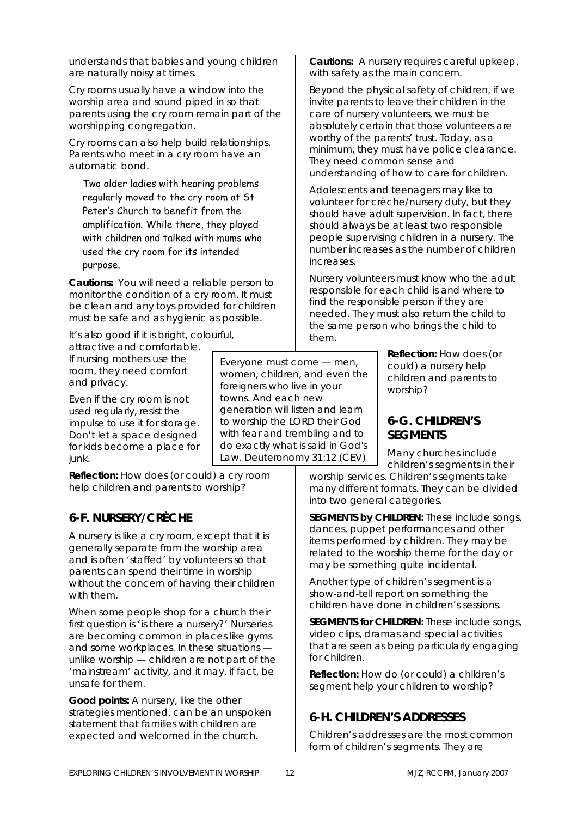understands that babies and young children are naturally noisy at times.

Cry rooms usually have a window into the worship area and sound piped in so that parents using the cry room remain part of the worshipping congregation.

Cry rooms can also help build relationships. Parents who meet in a cry room have an automatic bond.

Two older ladies with hearing problems regularly moved to the cry room at St Peter's Church to benefit from the amplification. While there, they played with children and talked with mums who used the cry room for its intended purpose.

**Cautions:** You will need a reliable person to monitor the condition of a cry room. It must be clean and any toys provided for children must be safe and as hygienic as possible.

It's also good if it is bright, colourful,

attractive and comfortable. If nursing mothers use the room, they need comfort and privacy.

Even if the cry room is not used regularly, resist the impulse to use it for storage. Don't let a space designed for kids become a place for junk.

*Reflection: How does (or could) a cry room help children and parents to worship?* 

### **6-F. NURSERY/CRÈCHE**

A nursery is like a cry room, except that it is generally separate from the worship area and is often 'staffed' by volunteers so that parents can spend their time in worship without the concern of having their children with them.

When some people shop for a church their first question is 'is there a nursery?' Nurseries are becoming common in places like gyms and some workplaces. In these situations unlike worship — children are not part of the 'mainstream' activity, and it may, if fact, be unsafe for them.

**Good points:** A nursery, like the other strategies mentioned, can be an unspoken statement that families with children are expected and welcomed in the church.

**Cautions:** A nursery requires careful upkeep, with safety as the main concern.

Beyond the physical safety of children, if we invite parents to leave their children in the care of nursery volunteers, we must be absolutely certain that those volunteers are worthy of the parents' trust. Today, as a minimum, they must have police clearance. They need common sense and understanding of how to care for children.

Adolescents and teenagers may like to volunteer for crèche/nursery duty, but they should have adult supervision. In fact, there should always be at least two responsible people supervising children in a nursery. The number increases as the number of children increases.

Nursery volunteers must know who the adult responsible for each child is and where to find the responsible person if they are needed. They must also return the child to the same person who brings the child to them.

> *Reflection: How does (or could) a nursery help children and parents to worship?*

### **6-G. CHILDREN'S SEGMENTS**

Many churches include children's segments in their worship services. Children's segments take many different formats. They can be divided into two general categories. do exactly what is said in God's Law. Deuteronomy 31:12 (CEV)

> **SEGMENTS by CHILDREN:** These include songs, dances, puppet performances and other items performed by children. They may be related to the worship theme for the day or may be something quite incidental.

Another type of children's segment is a show-and-tell report on something the children have done in children's sessions.

**SEGMENTS for CHILDREN:** These include songs, video clips, dramas and special activities that are seen as being particularly engaging for children.

*Reflection: How do (or could) a children's segment help your children to worship?* 

### **6-H. CHILDREN'S ADDRESSES**

Children's addresses are the most common form of children's segments. They are

Everyone must come — men, women, children, and even the foreigners who live in your towns. And each new

generation will listen and learn to worship the LORD their God with fear and trembling and to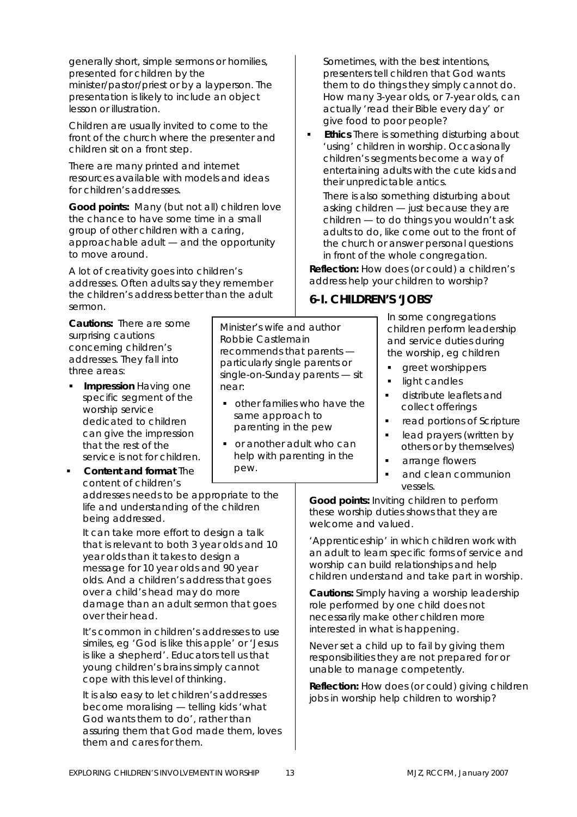generally short, simple sermons or homilies, presented for children by the minister/pastor/priest or by a layperson. The presentation is likely to include an object lesson or illustration.

Children are usually invited to come to the front of the church where the presenter and children sit on a front step.

There are many printed and internet resources available with models and ideas for children's addresses.

**Good points:** Many (but not all) children love the chance to have some time in a small group of other children with a caring, approachable adult — and the opportunity to move around.

A lot of creativity goes into children's addresses. Often adults say they remember the children's address better than the adult sermon.

**Cautions:** There are some surprising cautions concerning children's addresses. They fall into three areas:

- **Impression** Having one specific segment of the worship service dedicated to children can give the impression that the rest of the service is not for children.
- **Content and format** The content of children's

addresses needs to be appropriate to the life and understanding of the children being addressed.

It can take more effort to design a talk that is relevant to both 3 year olds and 10 year olds than it takes to design a message for 10 year olds and 90 year olds. And a children's address that goes over a child's head may do more damage than an adult sermon that goes over their head.

It's common in children's addresses to use similes, eg 'God is like this apple' or 'Jesus is like a shepherd'. Educators tell us that young children's brains simply cannot cope with this level of thinking.

It is also easy to let children's addresses become moralising — telling kids 'what God wants them to do', rather than assuring them that God made them, loves them and cares for them.

Minister's wife and author Robbie Castlemain recommends that parents particularly single parents or single-on-Sunday parents — sit near:

- other families who have the same approach to parenting in the pew
- or another adult who can help with parenting in the pew.

Sometimes, with the best intentions, presenters tell children that God wants them to do things they simply cannot do. How many 3-year olds, or 7-year olds, can actually 'read their Bible every day' or give food to poor people?

 **Ethics** There is something disturbing about 'using' children in worship. Occasionally children's segments become a way of entertaining adults with the cute kids and their unpredictable antics.

There is also something disturbing about asking children — just because they are children — to do things you wouldn't ask adults to do, like come out to the front of the church or answer personal questions in front of the whole congregation.

*Reflection: How does (or could) a children's address help your children to worship?* 

### **6-I. CHILDREN'S 'JOBS'**

In some congregations children perform leadership and service duties during the worship, eg children

- greet worshippers
- light candles
- distribute leaflets and collect offerings
- **•** read portions of Scripture
- **-** lead prayers (written by others or by themselves)
- arrange flowers
- and clean communion vessels.

**Good points:** Inviting children to perform these worship duties shows that they are welcome and valued.

'Apprenticeship' in which children work with an adult to learn specific forms of service and worship can build relationships and help children understand and take part in worship.

**Cautions:** Simply having a worship leadership role performed by one child does not necessarily make other children more interested in what is happening.

Never set a child up to fail by giving them responsibilities they are not prepared for or unable to manage competently.

*Reflection: How does (or could) giving children jobs in worship help children to worship?*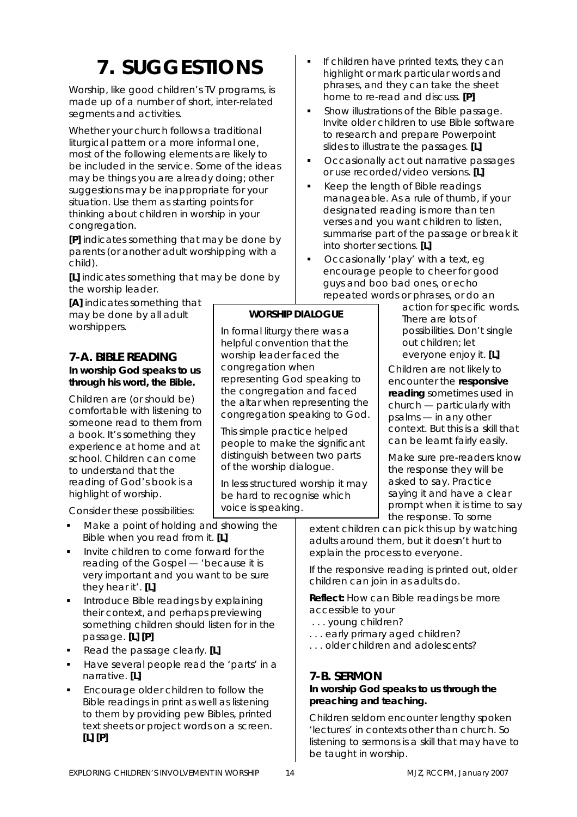# **7. SUGGESTIONS**

Worship, like good children's TV programs, is made up of a number of short, inter-related segments and activities.

Whether your church follows a traditional liturgical pattern or a more informal one, most of the following elements are likely to be included in the service. Some of the ideas may be things you are already doing; other suggestions may be inappropriate for your situation. Use them as starting points for thinking about children in worship in your congregation.

**[P]** indicates something that may be done by parents (or another adult worshipping with a child).

**[L]** indicates something that may be done by the worship leader.

**[A]** indicates something that may be done by all adult worshippers.

#### **7-A. BIBLE READING In worship** *God* **speaks to us through his word, the Bible.**

Children are (or should be) comfortable with listening to someone read to them from a book. It's something they experience at home and at school. Children can come to understand that the reading of God's book is a highlight of worship.

Consider these possibilities:

- Make a point of holding and showing the Bible when you read from it. **[L]**
- Invite children to come forward for the reading of the Gospel — 'because it is very important and you want to be sure they hear it'. **[L]**
- Introduce Bible readings by explaining their context, and perhaps previewing something children should listen for in the passage. **[L] [P]**
- Read the passage clearly. **[L]**
- Have several people read the 'parts' in a narrative. **[L]**
- Encourage older children to follow the Bible readings in print as well as listening to them by providing pew Bibles, printed text sheets or project words on a screen. **[L] [P]**
- If children have printed texts, they can highlight or mark particular words and phrases, and they can take the sheet home to re-read and discuss. **[P]**
- Show illustrations of the Bible passage. Invite older children to use Bible software to research and prepare Powerpoint slides to illustrate the passages. **[L]**
- Occasionally act out narrative passages or use recorded/video versions. **[L]**
- Keep the length of Bible readings manageable. As a rule of thumb, if your designated reading is more than ten verses and you want children to listen, summarise part of the passage or break it into shorter sections. **[L]**
- Occasionally 'play' with a text, eg encourage people to cheer for good guys and boo bad ones, or echo repeated words or phrases, or do an

action for specific words. There are lots of possibilities. Don't single out children; let everyone enjoy it. **[L]**

Children are not likely to encounter the **responsive reading** sometimes used in church — particularly with psalms — in any other context. But this is a skill that can be learnt fairly easily.

Make sure pre-readers know the response they will be asked to say. Practice saying it and have a clear prompt when it is time to say the response. To some

extent children can pick this up by watching adults around them, but it doesn't hurt to explain the process to everyone.

If the responsive reading is printed out, older children can join in as adults do.

*Reflect: How can Bible readings be more accessible to your* 

 *. . . young children?* 

- *. . . early primary aged children?*
- *. . . older children and adolescents?*

### **7-B. SERMON**

### **In worship** *God* **speaks to us through the preaching and teaching.**

Children seldom encounter lengthy spoken 'lectures' in contexts other than church. So listening to sermons is a skill that may have to be taught in worship.

**WORSHIP DIALOGUE** 

In formal liturgy there was a helpful convention that the worship leader faced the congregation when

representing God speaking to the congregation and faced the altar when representing the congregation speaking to God.

This simple practice helped people to make the significant distinguish between two parts of the worship dialogue.

In less structured worship it may be hard to recognise which

voice is speaking.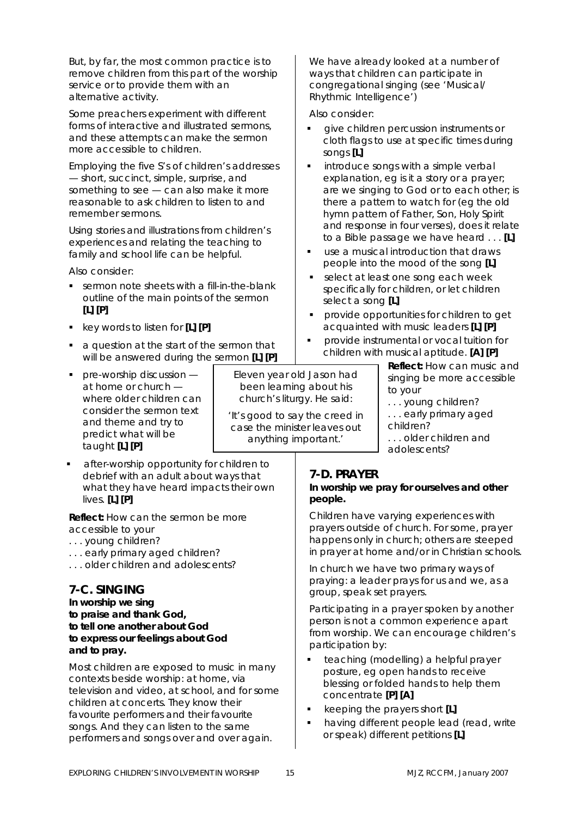But, by far, the most common practice is to remove children from this part of the worship service or to provide them with an alternative activity.

Some preachers experiment with different forms of interactive and illustrated sermons, and these attempts can make the sermon more accessible to children.

Employing the five S's of children's addresses — short, succinct, simple, surprise, and something to see — can also make it more reasonable to ask children to listen to and remember sermons.

Using stories and illustrations from children's experiences and relating the teaching to family and school life can be helpful.

Also consider:

- sermon note sheets with a fill-in-the-blank outline of the main points of the sermon **[L] [P]**
- key words to listen for **[L] [P]**
- a question at the start of the sermon that will be answered during the sermon **[L] [P]**
- **pre-worship discussion** at home or church where older children can consider the sermon text and theme and try to predict what will be taught **[L] [P]**
- after-worship opportunity for children to debrief with an adult about ways that what they have heard impacts their own lives. **[L] [P]**

*Reflect: How can the sermon be more accessible to your* 

- *. . . young children?*
- *. . . early primary aged children?*
- *. . . older children and adolescents?*

### **7-C. SINGING**

**In worship** *we* **sing to praise and thank God, to tell one another about God to express our feelings about God and to pray.** 

Most children are exposed to music in many contexts beside worship: at home, via television and video, at school, and for some children at concerts. They know their favourite performers and their favourite songs. And they can listen to the same performers and songs over and over again.

We have already looked at a number of ways that children can participate in congregational singing (see 'Musical/ Rhythmic Intelligence')

Also consider:

- give children percussion instruments or cloth flags to use at specific times during songs **[L]**
- introduce songs with a simple verbal explanation, eg is it a story or a prayer; are we singing to God or to each other; is there a pattern to watch for (eg the old hymn pattern of Father, Son, Holy Spirit and response in four verses), does it relate to a Bible passage we have heard . . . **[L]**
- use a musical introduction that draws people into the mood of the song **[L]**
- select at least one song each week specifically for children, or let children select a song **[L]**
- provide opportunities for children to get acquainted with music leaders **[L] [P]**
- provide instrumental or vocal tuition for children with musical aptitude. **[A] [P]**

*Reflect: How can music and singing be more accessible to your* 

- *. . . young children?*
- *. . . early primary aged children?*
- *. . . older children and adolescents?*

### **7-D. PRAYER**

Eleven year old Jason had been learning about his church's liturgy. He said: 'It's good to say the creed in case the minister leaves out anything important.'

#### **In worship** *we* **pray for ourselves and other people.**

Children have varying experiences with prayers outside of church. For some, prayer happens only in church; others are steeped in prayer at home and/or in Christian schools.

In church we have two primary ways of praying: a leader prays for us and we, as a group, speak set prayers.

Participating in a prayer spoken by another person is not a common experience apart from worship. We can encourage children's participation by:

- teaching (modelling) a helpful prayer posture, eg open hands to receive blessing or folded hands to help them concentrate **[P] [A]**
- keeping the prayers short **[L]**
- having different people lead (read, write or speak) different petitions **[L]**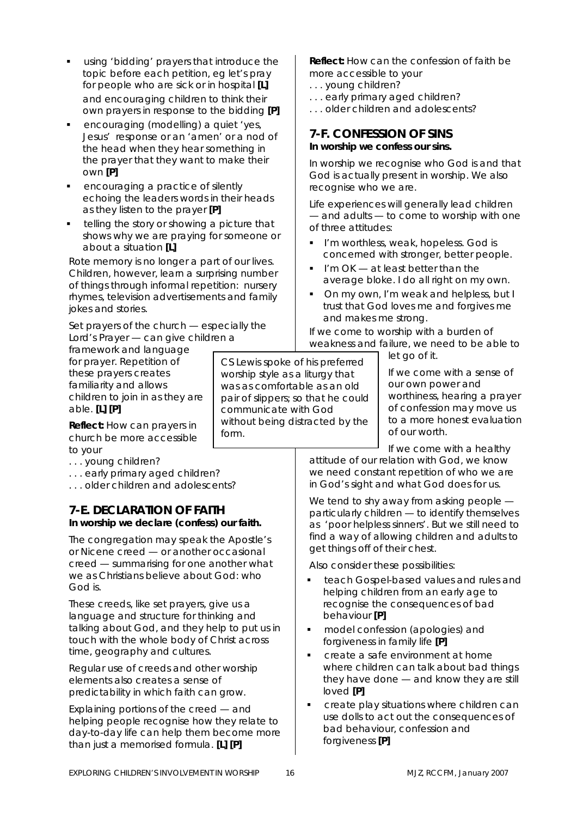- using 'bidding' prayers that introduce the topic before each petition, eg let's pray for people who are sick or in hospital **[L]** and encouraging children to think their own prayers in response to the bidding **[P]**
- encouraging (modelling) a quiet 'yes, Jesus' response or an 'amen' or a nod of the head when they hear something in the prayer that they want to make their own **[P]**
- encouraging a practice of silently echoing the leaders words in their heads as they listen to the prayer **[P]**
- telling the story or showing a picture that shows why we are praying for someone or about a situation **[L]**

Rote memory is no longer a part of our lives. Children, however, learn a surprising number of things through informal repetition: nursery rhymes, television advertisements and family jokes and stories.

Set prayers of the church — especially the Lord's Prayer — can give children a

framework and language for prayer. Repetition of these prayers creates familiarity and allows children to join in as they are able. **[L] [P]** 

*Reflect: How can prayers in church be more accessible to your* 

*. . . young children?* 

*. . . early primary aged children?* 

*. . . older children and adolescents?* 

### **7-E. DECLARATION OF FAITH In worship** *we* **declare (confess) our faith.**

The congregation may speak the Apostle's or Nicene creed — or another occasional creed — summarising for one another what we as Christians believe about God: who God is.

These creeds, like set prayers, give us a language and structure for thinking and talking about God, and they help to put us in touch with the whole body of Christ across time, geography and cultures.

Regular use of creeds and other worship elements also creates a sense of predictability in which faith can grow.

Explaining portions of the creed — and helping people recognise how they relate to day-to-day life can help them become more than just a memorised formula. **[L] [P]** 

CS Lewis spoke of his preferred worship style as a liturgy that was as comfortable as an old pair of slippers; so that he could communicate with God without being distracted by the form.

*Reflect: How can the confession of faith be more accessible to your* 

- *. . . young children?*
- *. . . early primary aged children?*
- *. . . older children and adolescents?*

### **7-F. CONFESSION OF SINS In worship** *we* **confess our sins.**

In worship we recognise who God is and that God is actually present in worship. We also recognise who we are.

Life experiences will generally lead children — and adults — to come to worship with one of three attitudes:

- **I'm worthless, weak, hopeless. God is** concerned with stronger, better people.
- I'm OK at least better than the average bloke. I do all right on my own.
- On my own, I'm weak and helpless, but I trust that God loves me and forgives me and makes me strong.

If we come to worship with a burden of weakness and failure, we need to be able to

let go of it.

If we come with a sense of our own power and worthiness, hearing a prayer of confession may move us to a more honest evaluation of our worth.

If we come with a healthy attitude of our relation with God, we know we need constant repetition of who we are in God's sight and what God does for us.

We tend to shy away from asking people – particularly children — to identify themselves as 'poor helpless sinners'. But we still need to find a way of allowing children and adults to get things off of their chest.

Also consider these possibilities:

- teach Gospel-based values and rules and helping children from an early age to recognise the consequences of bad behaviour **[P]**
- model confession (apologies) and forgiveness in family life **[P]**
- create a safe environment at home where children can talk about bad things they have done — and know they are still loved **[P]**
- create play situations where children can use dolls to act out the consequences of bad behaviour, confession and forgiveness **[P]**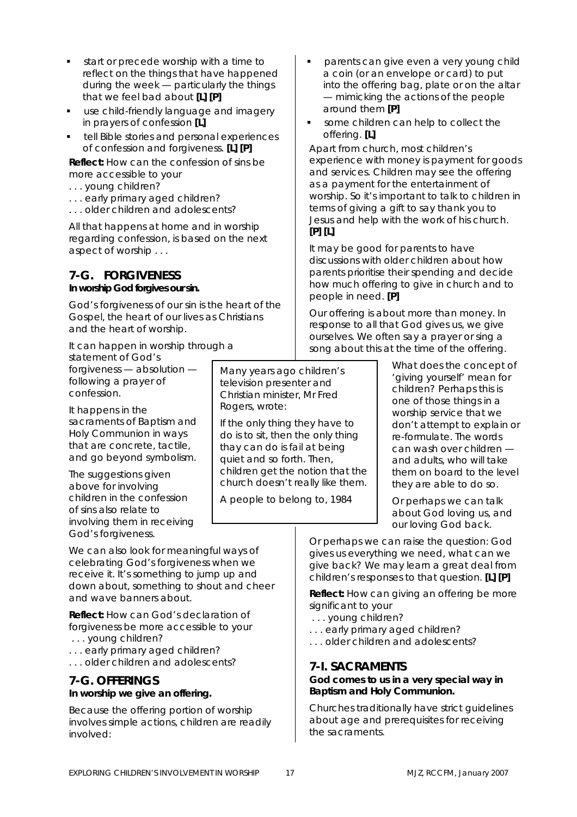- start or precede worship with a time to reflect on the things that have happened during the week — particularly the things that we feel bad about **[L] [P]**
- use child-friendly language and imagery in prayers of confession **[L]**
- tell Bible stories and personal experiences of confession and forgiveness. **[L] [P]**

*Reflect: How can the confession of sins be more accessible to your* 

- *. . . young children?*
- *. . . early primary aged children?*
- *. . . older children and adolescents?*

All that happens at home and in worship regarding confession, is based on the next aspect of worship . . .

### **7-G. FORGIVENESS In worship** *God* **forgives our sin.**

God's forgiveness of our sin is the heart of the Gospel, the heart of our lives as Christians and the heart of worship.

It can happen in worship through a

statement of God's forgiveness — absolution following a prayer of confession.

It happens in the sacraments of Baptism and Holy Communion in ways that are concrete, tactile, and go beyond symbolism.

The suggestions given above for involving children in the confession of sins also relate to involving them in receiving God's forgiveness.

We can also look for meaningful ways of celebrating God's forgiveness when we receive it. It's something to jump up and down about, something to shout and cheer and wave banners about.

*Reflect: How can God's declaration of forgiveness be more accessible to your . . . young children?* 

- *. . . early primary aged children?*
- *. . . older children and adolescents?*

### **7-G. OFFERINGS In worship we give an offering.**

Because the offering portion of worship involves simple actions, children are readily involved:

Many years ago children's television presenter and Christian minister, Mr Fred Rogers, wrote:

If the only thing they have to do is to sit, then the only thing thay can do is fail at being quiet and so forth. Then, children get the notion that the church doesn't really like them.

*A people to belong to*, 1984

- parents can give even a very young child a coin (or an envelope or card) to put into the offering bag, plate or on the altar — mimicking the actions of the people around them **[P]**
- some children can help to collect the offering. **[L]**

Apart from church, most children's experience with money is payment for goods and services. Children may see the offering as a payment for the entertainment of worship. So it's important to talk to children in terms of giving a gift to say thank you to Jesus and help with the work of his church. **[P] [L]** 

It may be good for parents to have discussions with older children about how parents prioritise their spending and decide how much offering to give in church and to people in need. **[P]** 

Our offering is about more than money. In response to all that God gives us, we give ourselves. We often say a prayer or sing a song about this at the time of the offering.

> What does the concept of 'giving yourself' mean for children? Perhaps this is one of those things in a worship service that we don't attempt to explain or re-formulate. The words can wash over children and adults, who will take them on board to the level they are able to do so.

Or perhaps we can talk about God loving us, and our loving God back.

Or perhaps we can raise the question: God gives us everything we need, what can we give back? We may learn a great deal from children's responses to that question. **[L] [P]** 

*Reflect: How can giving an offering be more significant to your* 

- *. . . young children?*
- *. . . early primary aged children?*
- *. . . older children and adolescents?*

### **7-I. SACRAMENTS**

### **God comes to us in a very special way in Baptism and Holy Communion.**

Churches traditionally have strict guidelines about age and prerequisites for receiving the sacraments.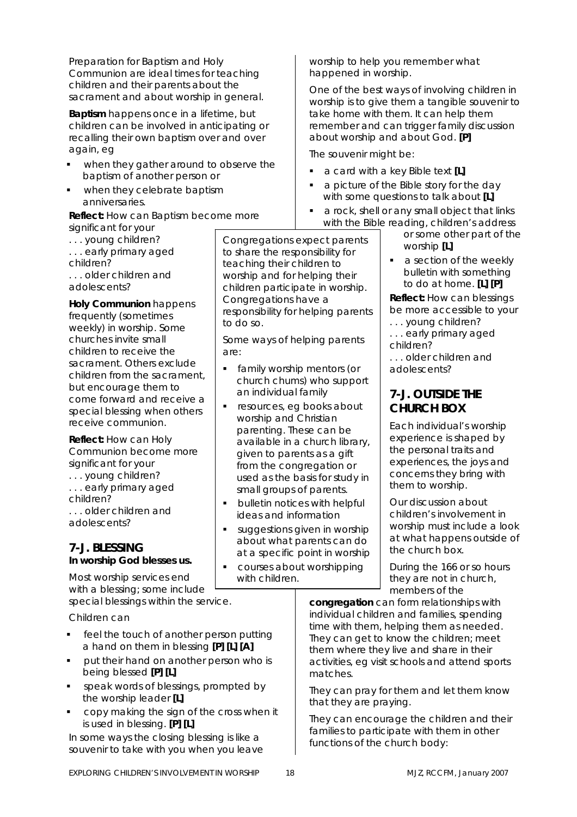Preparation for Baptism and Holy Communion are ideal times for teaching children and their parents about the sacrament and about worship in general.

**Baptism** happens once in a lifetime, but children can be involved in anticipating or recalling their own baptism over and over again, eg

- when they gather around to observe the baptism of another person or
- when they celebrate baptism anniversaries.

### *Reflect: How can Baptism become more*

*significant for your* 

*. . . young children? . . . early primary aged children? . . . older children and adolescents?* 

**Holy Communion** happens frequently (sometimes weekly) in worship. Some churches invite small children to receive the sacrament. Others exclude children from the sacrament, but encourage them to come forward and receive a special blessing when others receive communion.

*Reflect: How can Holy Communion become more significant for your* 

- *. . . young children?*
- *. . . early primary aged children? . . . older children and*

*adolescents?* 

### **7-J. BLESSING In worship** *God* **blesses us.**

Most worship services end with a blessing; some include special blessings within the service.

Children can

- feel the touch of another person putting a hand on them in blessing **[P] [L] [A]**
- put their hand on another person who is being blessed **[P] [L]**
- speak words of blessings, prompted by the worship leader **[L]**
- copy making the sign of the cross when it is used in blessing. **[P] [L]**

In some ways the closing blessing is like a souvenir to take with you when you leave

Congregations expect parents to share the responsibility for teaching their children to worship and for helping their children participate in worship. Congregations have a responsibility for helping parents to do so.

Some ways of helping parents are:

- family worship mentors (or church chums) who support an individual family
- resources, eg books about worship and Christian parenting. These can be available in a church library, given to parents as a gift from the congregation or used as the basis for study in small groups of parents.
- **bulletin notices with helpful** ideas and information
- suggestions given in worship about what parents can do at a specific point in worship
- courses about worshipping with children.

worship to help you remember what happened in worship.

One of the best ways of involving children in worship is to give them a tangible souvenir to take home with them. It can help them remember and can trigger family discussion about worship and about God. **[P]** 

The souvenir might be:

- a card with a key Bible text **[L]**
- a picture of the Bible story for the day with some questions to talk about **[L]**
- a rock, shell or any small object that links with the Bible reading, children's address

or some other part of the worship **[L]**

 a section of the weekly bulletin with something to do at home. **[L] [P]**

*Reflect: How can blessings be more accessible to your* 

- *. . . young children?*
- *. . . early primary aged*
- *children?*

*. . . older children and adolescents?* 

### **7-J. OUTSIDE THE CHURCH BOX**

Each individual's worship experience is shaped by the personal traits and experiences, the joys and concerns they bring with them to worship.

Our discussion about children's involvement in worship must include a look at what happens outside of the church box.

During the 166 or so hours they are not in church, members of the

**congregation** can form relationships with individual children and families, spending time with them, helping them as needed. They can get to know the children; meet them where they live and share in their activities, eg visit schools and attend sports matches.

They can pray for them and let them know that they are praying.

They can encourage the children and their families to participate with them in other functions of the church body: